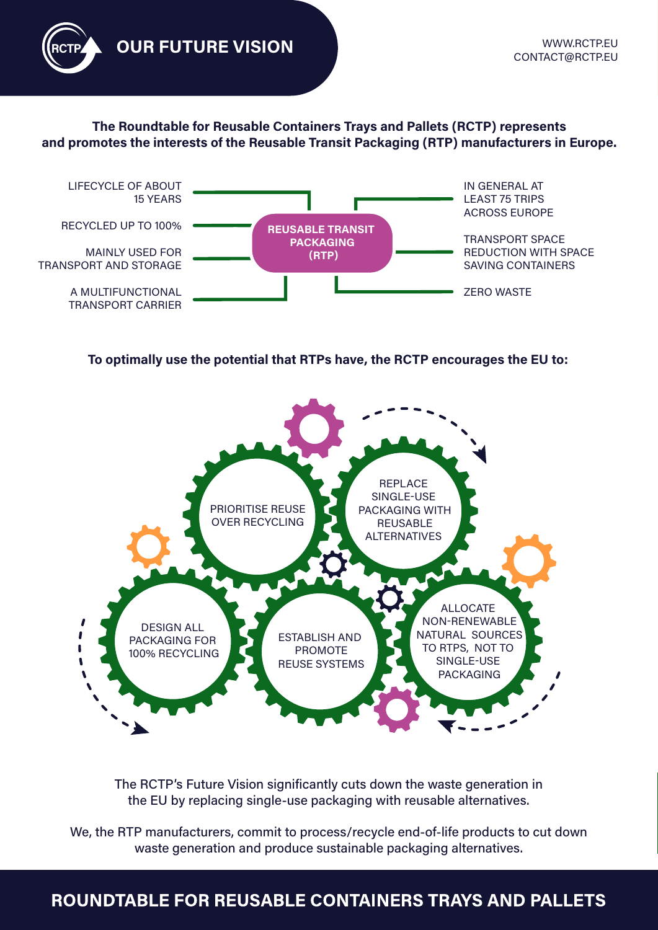**OUR FUTURE VISION** 

#### The Roundtable for Reusable Containers Trays and Pallets (RCTP) represents and promotes the interests of the Reusable Transit Packaging (RTP) manufacturers in Europe.



To optimally use the potential that RTPs have, the RCTP encourages the EU to:



The RCTP's Future Vision significantly cuts down the waste generation in the EU by replacing single-use packaging with reusable alternatives.

We, the RTP manufacturers, commit to process/recycle end-of-life products to cut down waste generation and produce sustainable packaging alternatives.

## ROUNDTABLE FOR REUSABLE CONTAINERS TRAYS AND PALLETS